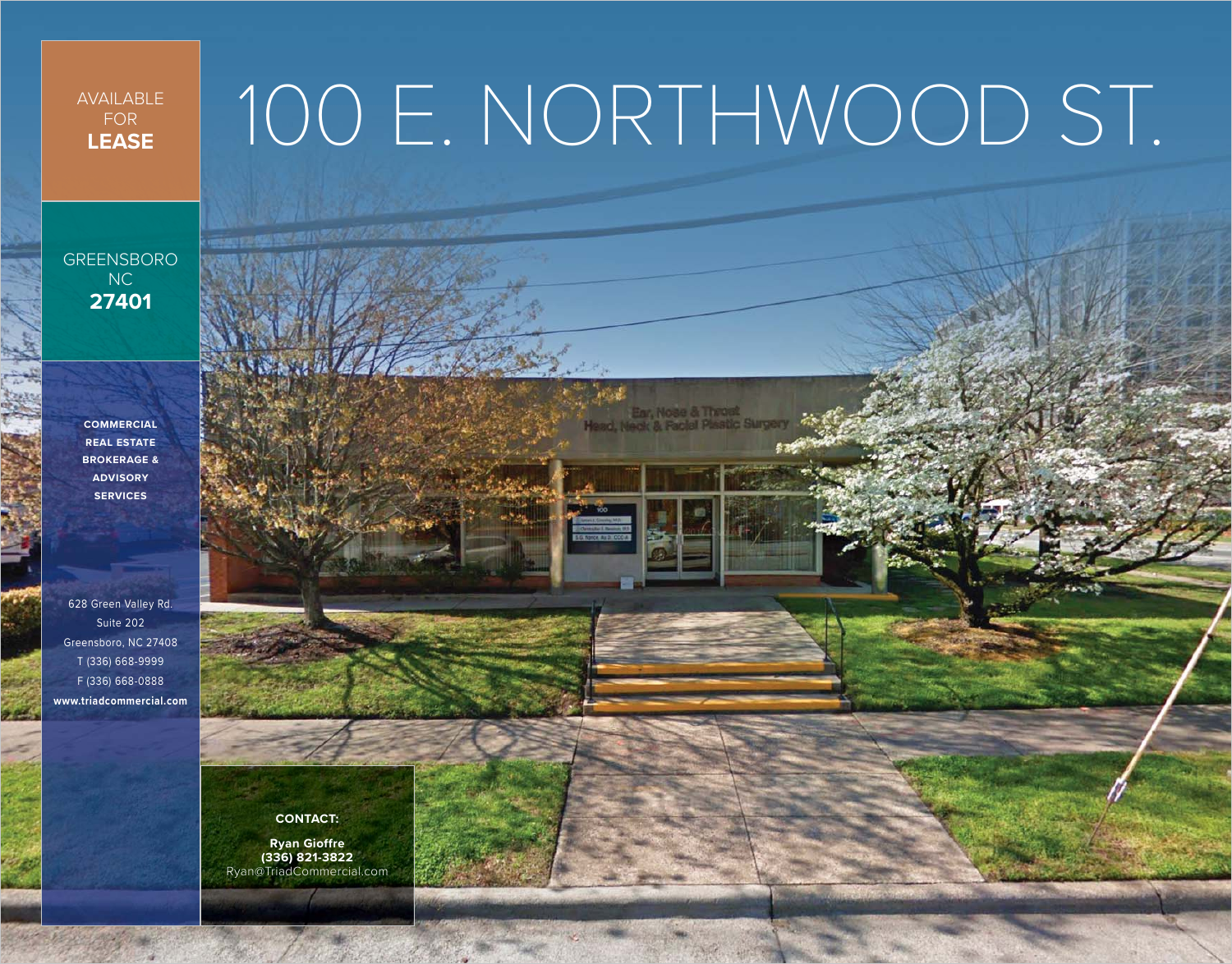### AVAILABLE FOR **LEASE**

# 100 E. NORTHWOOD ST.

GREENSBORO N<sub>C</sub> **27401**

> **COMMERCIAL REAL ESTATE BROKERAGE & ADVISORY SERVICES**

628 Green Valley Rd. Suite 202 Greensboro, NC 27408 T (336) 668-9999 F (336) 668-0888 **[www.triadcommercial.com](http://www.triadcommercial.com)**

6. S

Ear, Nose & Throat<br>ead, Neck & Facial Plastic Surger

**SALE OF ALL AND ADDRESS** 

**CONTACT: Ryan Gioffre (336) 821-3822** [Ryan@TriadCommercial.com](mailto:Raffi@TriadCommercial.com)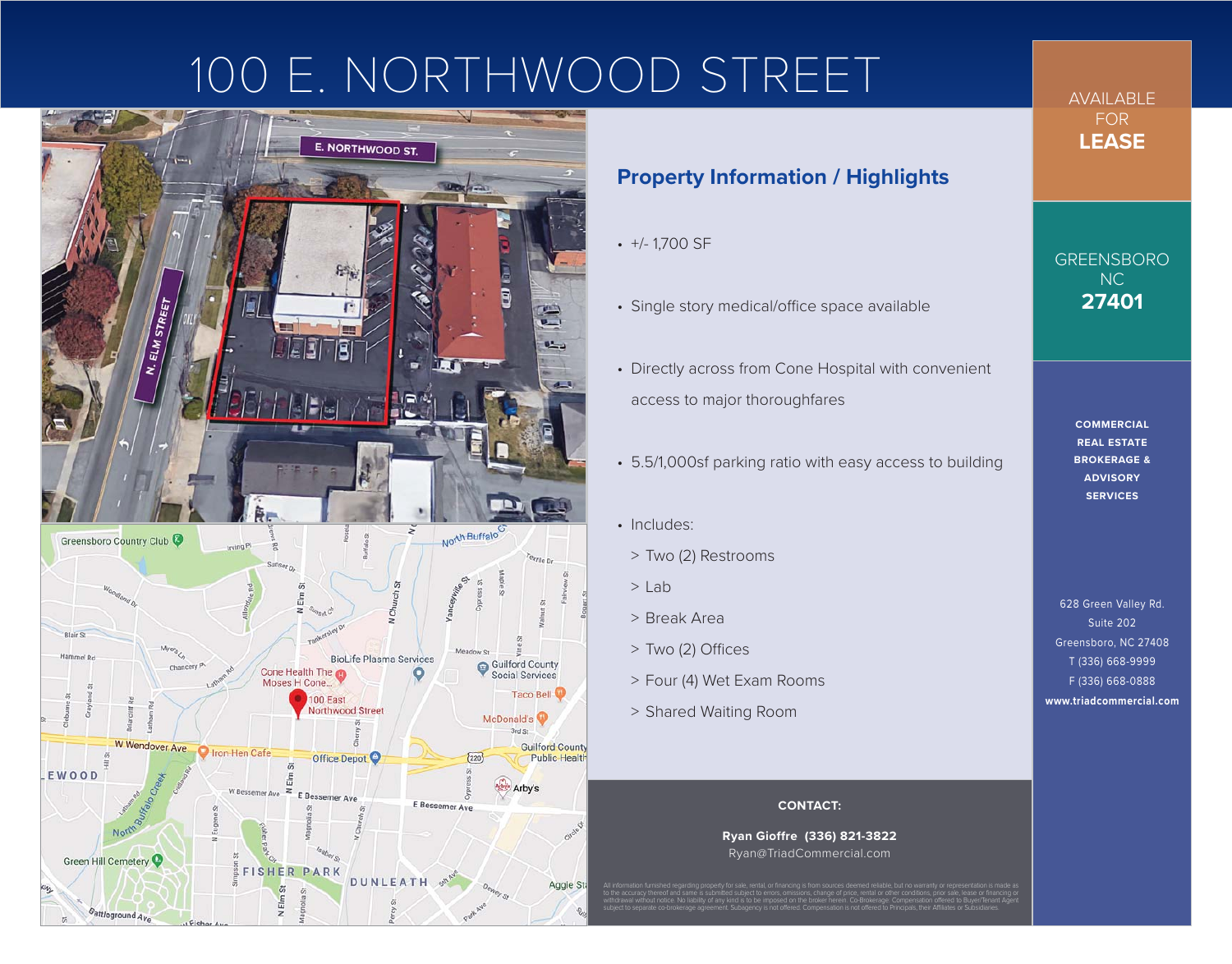# 100 E. NORTHWOOD STREET



### **Property Information / Highlights**

- $+/- 1,700$  SF
- Single story medical/office space available
- Directly across from Cone Hospital with convenient access to major thoroughfares
- 5.5/1,000sf parking ratio with easy access to building
- Includes:
	- > Two (2) Restrooms
- > Lab
- > Break Area
- > Two (2) Offices
- > Four (4) Wet Exam Rooms
- > Shared Waiting Room

#### **CONTACT:**

**Ryan Gioffre (336) 821-3822** [Ryan@TriadCommercial.com](mailto:Raffi@TriadCommercial.com)

to the accuracy thereof and same is submitted subject to errors, omissions, change of price, rental or other conditions, prior sale, lease or financing or subject to separate co-brokerage agreement. Subagency is not offered. Compensation is not offered to Principals, their Affiliates or Subsidiaries.

AVAILABLE FOR **LEASE**

GREENSBORO NC **27401**

> **COMMERCIAL REAL ESTATE BROKERAGE & ADVISORY SERVICES**

628 Green Valley Rd. Suite 202 Greensboro, NC 27408 T (336) 668-9999 F (336) 668-0888 **[www.triadcommercial.com](http://www.triadcommercial.com)**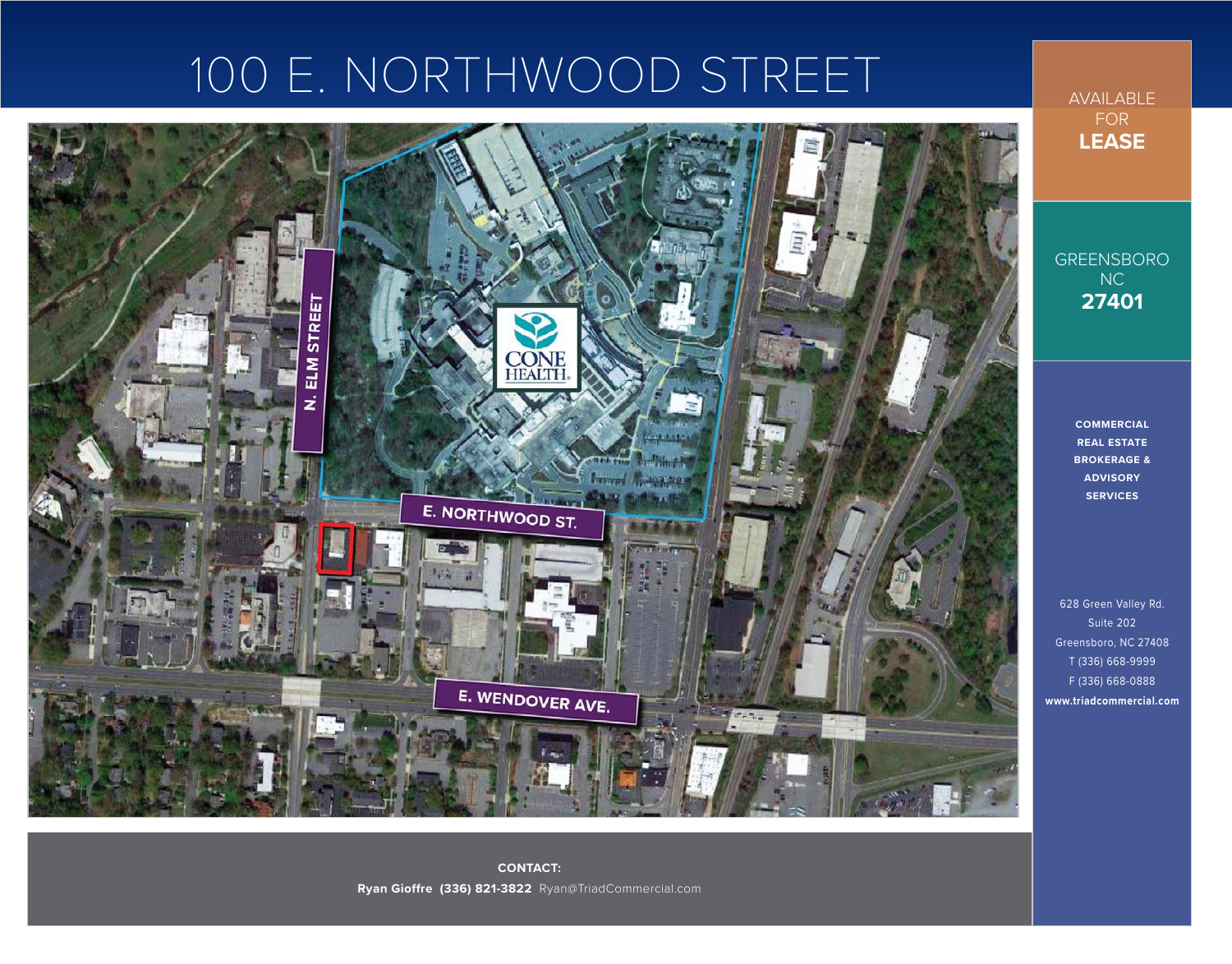## 100 E. NORTHWOOD STREET



AVAILABLE FOR **LEASE**

GREENSBORO NC **27401**

> **COMMERCIAL REAL ESTATE BROKERAGE & ADVISORY SERVICES**

628 Green Valley Rd. Suite 202 Greensboro, NC 27408 T (336) 668-9999 F (336) 668-0888 **[www.triadcommercial.com](http://www.triadcommercial.com)**

**CONTACT: Ryan Gioffre (336) 821-3822** [Ryan@TriadCommercial.com](mailto:Raffi@TriadCommercial.com)